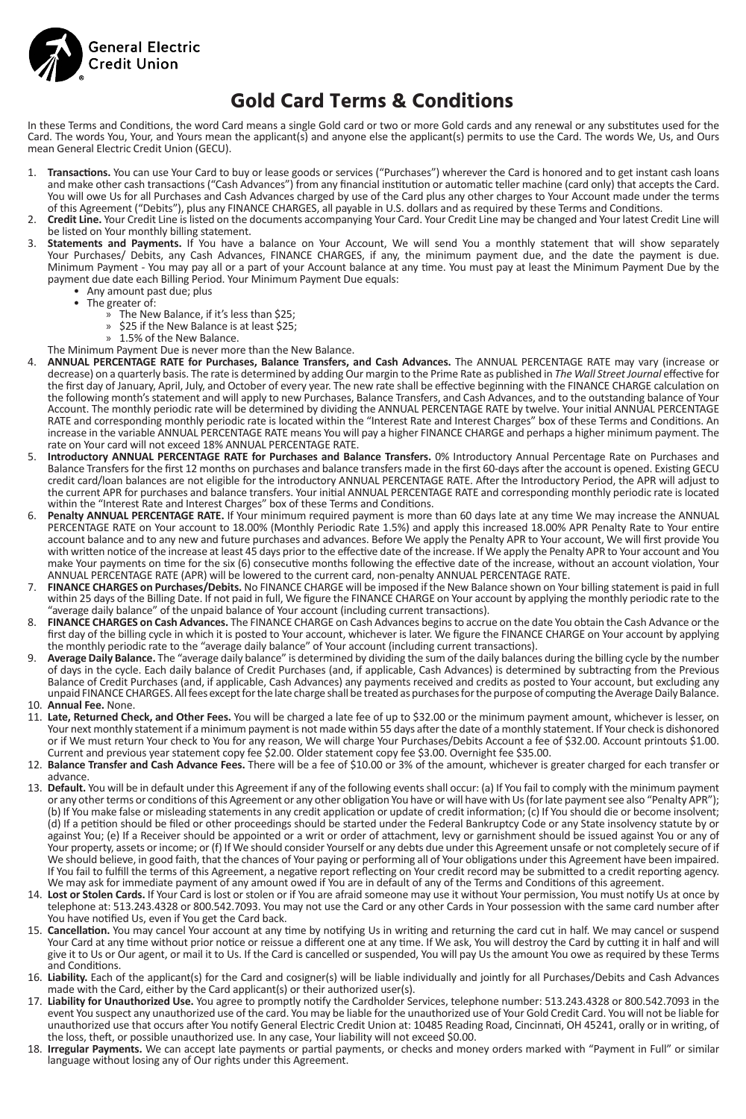

# **Gold Card Terms & Conditions**

 In these Terms and Conditions, the word Card means a single Gold card or two or more Gold cards and any renewal or any substitutes used for the Card. The words You, Your, and Yours mean the applicant(s) and anyone else the applicant(s) permits to use the Card. The words We, Us, and Ours mean General Electric Credit Union (GECU).

- 1. **Transactions.** You can use Your Card to buy or lease goods or services ("Purchases") wherever the Card is honored and to get instant cash loans and make other cash transactions ("Cash Advances") from any financial institution or automatic teller machine (card only) that accepts the Card. You will owe Us for all Purchases and Cash Advances charged by use of the Card plus any other charges to Your Account made under the terms of this Agreement ("Debits"), plus any FINANCE CHARGES, all payable in U.S. dollars and as required by these Terms and Conditions.
- 2. **Credit Line.** Your Credit Line islisted on the documents accompanying Your Card. Your Credit Line may be changed and Your latest Credit Line will be listed on Your monthly billing statement.
- 3. **Statements and Payments.** If You have a balance on Your Account, We will send You a monthly statement that will show separately Your Purchases/ Debits, any Cash Advances, FINANCE CHARGES, if any, the minimum payment due, and the date the payment is due. Minimum Payment - You may pay all or a part of your Account balance at any time. You must pay at least the Minimum Payment Due by the payment due date each Billing Period. Your Minimum Payment Due equals:
	- Any amount past due; plus
		- The greater of:
			- » The New Balance, if it's less than \$25;
			- » \$25 if the New Balance is at least \$25;
			- » 1.5% of the New Balance.
- The Minimum Payment Due is never more than the New Balance.
- 4. **ANNUAL PERCENTAGE RATE for Purchases, Balance Transfers, and Cash Advances.** The ANNUAL PERCENTAGE RATE may vary (increase or decrease) on a quarterly basis. The rate is determined by adding Our margin to the Prime Rate as published in *The Wall Street Journal* effective for the first day of January, April, July, and October of every year. The new rate shall be effective beginning with the FINANCE CHARGE calculation on the following month'sstatement and will apply to new Purchases, Balance Transfers, and Cash Advances, and to the outstanding balance of Your Account. The monthly periodic rate will be determined by dividing the ANNUAL PERCENTAGE RATE by twelve. Your initial ANNUAL PERCENTAGE RATE and corresponding monthly periodic rate is located within the "Interest Rate and Interest Charges" box of these Terms and Conditions. An increase in the variable ANNUAL PERCENTAGE RATE means You will pay a higher FINANCE CHARGE and perhaps a higher minimum payment. The rate on Your card will not exceed 18% ANNUAL PERCENTAGE RATE.
- 5. **Introductory ANNUAL PERCENTAGE RATE for Purchases and Balance Transfers.** 0% Introductory Annual Percentage Rate on Purchases and Balance Transfersfor the first 12 months on purchases and balance transfers made in the first 60-days after the account is opened. Existing GECU credit card/loan balances are not eligible for the introductory ANNUAL PERCENTAGE RATE. After the Introductory Period, the APR will adjust to the current APR for purchases and balance transfers. Your initial ANNUAL PERCENTAGE RATE and corresponding monthly periodic rate is located within the "Interest Rate and Interest Charges" box of these Terms and Conditions.
- 6. **Penalty ANNUAL PERCENTAGE RATE.** If Your minimum required payment is more than 60 days late at any time We may increase the ANNUAL PERCENTAGE RATE on Your account to 18.00% (Monthly Periodic Rate 1.5%) and apply this increased 18.00% APR Penalty Rate to Your entire account balance and to any new and future purchases and advances. Before We apply the Penalty APR to Your account, We will first provide You with written notice of the increase at least 45 days prior to the effective date of the increase. If We apply the Penalty APR to Your account and You make Your payments on time for the six (6) consecutive months following the effective date of the increase, without an account violation, Your ANNUAL PERCENTAGE RATE (APR) will be lowered to the current card, non-penalty ANNUAL PERCENTAGE RATE.
- 7. **FINANCE CHARGES on Purchases/Debits.** No FINANCE CHARGE will be imposed if the New Balance shown on Your billing statement is paid in full within 25 days of the Billing Date. If not paid in full, We figure the FINANCE CHARGE on Your account by applying the monthly periodic rate to the "average daily balance" of the unpaid balance of Your account (including current transactions).
- 8. **FINANCE CHARGES on Cash Advances.** The FINANCE CHARGE on Cash Advances beginsto accrue on the date You obtain the Cash Advance orthe first day of the billing cycle in which it is posted to Your account, whichever is later. We figure the FINANCE CHARGE on Your account by applying the monthly periodic rate to the "average daily balance" of Your account (including current transactions).
- 9. **Average Daily Balance.** The "average daily balance" is determined by dividing the sum of the daily balances during the billing cycle by the number of days in the cycle. Each daily balance of Credit Purchases (and, if applicable, Cash Advances) is determined by subtracting from the Previous Balance of Credit Purchases (and, if applicable, Cash Advances) any payments received and credits as posted to Your account, but excluding any unpaid FINANCE CHARGES. All fees except for the late charge shall be treated as purchases for the purpose of computing the Average Daily Balance. 10. **Annual Fee.** None.
- 
- 11. **Late, Returned Check, and Other Fees.** You will be charged a late fee of up to \$32.00 or the minimum payment amount, whichever is lesser, on Your next monthly statement if a minimum payment is not made within 55 days after the date of a monthly statement. If Your check is dishonored<br>or if We must return Your check to You for any reason, We will charge Your Purc Current and previous year statement copy fee \$2.00. Older statement copy fee \$3.00. Overnight fee \$35.00.
- 12. **Balance Transfer and Cash Advance Fees.** There will be a fee of \$10.00 or 3% of the amount, whichever is greater charged for each transfer or advance.
- 13. **Default.** You will be in default under this Agreement if any of the following eventsshall occur: (a) If You fail to comply with the minimum payment or any other terms or conditions of this Agreement or any other obligation You have or will have with Us (for late payment see also "Penalty APR"); (b) If You make false or misleading statementsin any credit application or update of credit information; (c) If You should die or become insolvent; (d) If a petition should be filed or other proceedings should be started under the Federal Bankruptcy Code or any State insolvency statute by or against You; (e) If a Receiver should be appointed or a writ or order of attachment, levy or garnishment should be issued against You or any of Your property, assets or income; or (f) If We should consider Yourself or any debts due under this Agreement unsafe or not completely secure of if We should believe, in good faith, that the chances of Your paying or performing all of Your obligations under this Agreement have been impaired. If You fail to fulfill the terms of this Agreement, a negative report reflecting on Your credit record may be submitted to a credit reporting agency. We may ask for immediate payment of any amount owed if You are in default of any of the Terms and Conditions of this agreement.
- 14. **Lost or Stolen Cards.** If Your Card is lost or stolen or if You are afraid someone may use it without Your permission, You must notify Us at once by telephone at: 513.243.4328 or 800.542.7093. You may not use the Card or any other Cards in Your possession with the same card number after You have notified Us, even if You get the Card back.
- 15. **Cancellation.** You may cancel Your account at any time by notifying Us in writing and returning the card cut in half. We may cancel or suspend Your Card at any time without prior notice or reissue a different one at any time. If We ask, You will destroy the Card by cutting it in half and will give it to Us or Our agent, or mail it to Us. If the Card is cancelled or suspended, You will pay Us the amount You owe as required by these Terms and Conditions.
- 16. **Liability.** Each of the applicant(s) for the Card and cosigner(s) will be liable individually and jointly for all Purchases/Debits and Cash Advances made with the Card, either by the Card applicant(s) or their authorized user(s).
- 17. **Liability for Unauthorized Use.** You agree to promptly notify the Cardholder Services, telephone number: 513.243.4328 or 800.542.7093 in the event You suspect any unauthorized use of the card. You may be liable for the unauthorized use of Your Gold Credit Card. You will not be liable for unauthorized use that occurs after You notify General Electric Credit Union at: 10485 Reading Road, Cincinnati, OH 45241, orally or in writing, of the loss, theft, or possible unauthorized use. In any case, Your liability will not exceed \$0.00.
- 18. **Irregular Payments.** We can accept late payments or partial payments, or checks and money orders marked with "Payment in Full" or similar language without losing any of Our rights under this Agreement.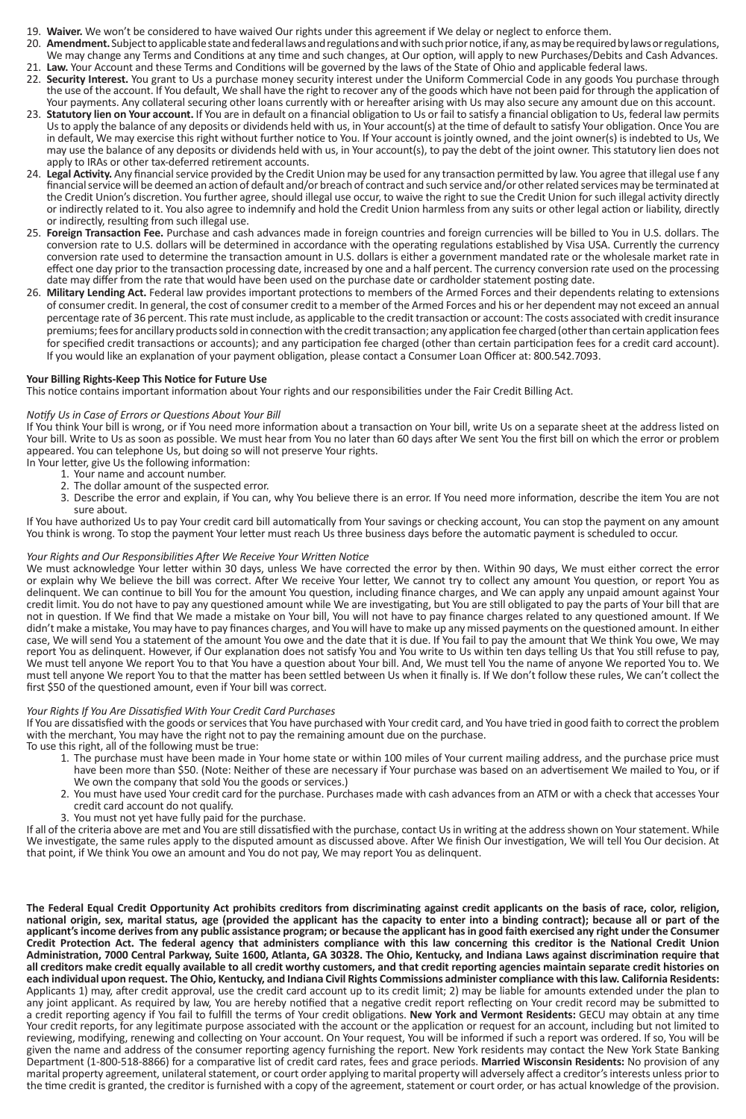- 19. **Waiver.** We won't be considered to have waived Our rights under this agreement if We delay or neglect to enforce them.
- 20. Amendment. Subject to applicable state and federal laws and regulations and with such prior notice, if any, as may be required by laws or regulations, We may change any Terms and Conditions at any time and such changes, at Our option, will apply to new Purchases/Debits and Cash Advances.
- 21. **Law.** Your Account and these Terms and Conditions will be governed by the laws of the State of Ohio and applicable federal laws. 22. Security Interest. You grant to Us a purchase money security interest under the Uniform Commercial Code in any goods You purchase through<br>the use of the account. If You default, We shall have the right to recover any o
- Your payments. Any collateral securing other loans currently with or hereafter arising with Us may also secure any amount due on this account. 23. **Statutory lien on Your account.** If You are in default on a financial obligation to Us or fail to satisfy a financial obligation to Us, federal law permits Us to apply the balance of any deposits or dividends held with us, in Your account(s) at the time of default to satisfy Your obligation. Once You are in default, We may exercise this right without further notice to You. If Your account is jointly owned, and the joint owner(s) is indebted to Us, We may use the balance of any deposits or dividends held with us, in Your account(s), to pay the debt of the joint owner. This statutory lien does not apply to IRAs or other tax-deferred retirement accounts.
- 24. Legal Activity. Any financial service provided by the Credit Union may be used for any transaction permitted by law. You agree that illegal use f any financialservice will be deemed an action of default and/or breach of contract and such service and/or otherrelated servicesmay be terminated at the Credit Union's discretion. You further agree, should illegal use occur, to waive the right to sue the Credit Union for such illegal activity directly or indirectly related to it. You also agree to indemnify and hold the Credit Union harmless from any suits or other legal action or liability, directly or indirectly, resulting from such illegal use.
- 25. **Foreign Transaction Fee.** Purchase and cash advances made in foreign countries and foreign currencies will be billed to You in U.S. dollars. The conversion rate to U.S. dollars will be determined in accordance with the operating regulations established by Visa USA. Currently the currency conversion rate used to determine the transaction amount in U.S. dollars is either a government mandated rate or the wholesale market rate in effect one day prior to the transaction processing date, increased by one and a half percent. The currency conversion rate used on the processing date may differ from the rate that would have been used on the purchase date or cardholder statement posting date.
- 26. Military Lending Act. Federal law provides important protections to members of the Armed Forces and their dependents relating to extensions of consumer credit. In general, the cost of consumer credit to a member of the Armed Forces and his or her dependent may not exceed an annual percentage rate of 36 percent. Thisrate mustinclude, as applicable to the credittransaction or account: The costs associated with creditinsurance premiums; fees for ancillary products sold in connection with the credit transaction; any application fee charged (other than certain application fees for specified credit transactions or accounts); and any participation fee charged (other than certain participation fees for a credit card account). If you would like an explanation of your payment obligation, please contact a Consumer Loan Officer at: 800.542.7093.

### **Your Billing Rights-Keep This Notice for Future Use**

This notice contains important information about Your rights and our responsibilities under the Fair Credit Billing Act.

## *Notify Us in Case of Errors or Questions About Your Bill*

If You think Your bill is wrong, or if You need more information about a transaction on Your bill, write Us on a separate sheet at the address listed on Your bill. Write to Us as soon as possible. We must hear from You no later than 60 days after We sent You the first bill on which the error or problem appeared. You can telephone Us, but doing so will not preserve Your rights.

- In Your letter, give Us the following information: 1. Your name and account number.
	- 2. The dollar amount of the suspected error.
	- 3. Describe the error and explain, if You can, why You believe there is an error. If You need more information, describe the item You are not sure about.

If You have authorized Us to pay Your credit card bill automatically from Your savings or checking account, You can stop the payment on any amount You think is wrong. To stop the payment Your letter must reach Us three business days before the automatic payment is scheduled to occur.

#### *Your Rights and Our Responsibilities After We Receive Your Written Notice*

We must acknowledge Your letter within 30 days, unless We have corrected the error by then. Within 90 days, We must either correct the error or explain why We believe the bill was correct. After We receive Your letter, We cannot try to collect any amount You question, or report You as delinquent. We can continue to bill You for the amount You question, including finance charges, and We can apply any unpaid amount against Your credit limit. You do not have to pay any questioned amount while We are investigating, but You are still obligated to pay the parts of Your bill that are not in question. If We find that We made a mistake on Your bill, You will not have to pay finance charges related to any questioned amount. If We didn't make a mistake, You may have to pay finances charges, and You will have to make up any missed payments on the questioned amount. In either case, We will send You a statement of the amount You owe and the date that it is due. If You fail to pay the amount that We think You owe, We may report You as delinquent. However, if Our explanation does not satisfy You and You write to Us within ten days telling Us that You still refuse to pay, We must tell anyone We report You to that You have a question about Your bill. And, We must tell You the name of anyone We reported You to. We must tell anyone We report You to that the matter has been settled between Us when it finally is. If We don't follow these rules, We can't collect the first \$50 of the questioned amount, even if Your bill was correct.

#### *Your Rights If You Are Dissatisfied With Your Credit Card Purchases*

If You are dissatisfied with the goods or services that You have purchased with Your credit card, and You have tried in good faith to correct the problem with the merchant, You may have the right not to pay the remaining amount due on the purchase.

To use this right, all of the following must be true:

- 1. The purchase must have been made in Your home state or within 100 miles of Your current mailing address, and the purchase price must have been more than \$50. (Note: Neither of these are necessary if Your purchase was based on an advertisement We mailed to You, or if We own the company that sold You the goods or services.)
- 2. You must have used Your credit card for the purchase. Purchases made with cash advancesfrom an ATM or with a check that accesses Your credit card account do not qualify.
- 3. You must not yet have fully paid for the purchase.

If all of the criteria above are met and You are still dissatisfied with the purchase, contact Us in writing at the address shown on Your statement. While We investigate, the same rules apply to the disputed amount as discussed above. After We finish Our investigation, We will tell You Our decision. At that point, if We think You owe an amount and You do not pay, We may report You as delinquent.

**The Federal Equal Credit Opportunity Act prohibits creditors from discriminating against credit applicants on the basis of race, color, religion, national origin, sex, marital status, age (provided the applicant has the capacity to enter into a binding contract); because all or part of the applicant's income derives from any public assistance program; or because the applicant has in good faith exercised any right under the Consumer Credit Protection Act. The federal agency that administers compliance with this law concerning this creditor is the National Credit Union Administration, 7000 Central Parkway, Suite 1600, Atlanta, GA 30328. The Ohio, Kentucky, and Indiana Laws against discrimination require that all creditors make credit equally available to all credit worthy customers, and that credit reporting agencies maintain separate credit histories on each individual upon request. The Ohio, Kentucky, and Indiana Civil Rights Commissions administer compliance with this law. California Residents:** Applicants 1) may, after credit approval, use the credit card account up to its credit limit; 2) may be liable for amounts extended under the plan to any joint applicant. As required by law, You are hereby notified that a negative credit report reflecting on Your credit record may be submitted to a credit reporting agency if You fail to fulfill the terms of Your credit obligations. **New York and Vermont Residents:** GECU may obtain at any time Your credit reports, for any legitimate purpose associated with the account or the application or request for an account, including but not limited to reviewing, modifying, renewing and collecting on Your account. On Your request, You will be informed if such a report was ordered. If so, You will be given the name and address of the consumer reporting agency furnishing the report. New York residents may contact the New York State Banking Department (1-800-518-8866) for a comparative list of credit card rates, fees and grace periods. **Married Wisconsin Residents:** No provision of any marital property agreement, unilateralstatement, or court order applying to marital property will adversely affect a creditor'sinterests unless prior to the time credit is granted, the creditor is furnished with a copy of the agreement, statement or court order, or has actual knowledge of the provision.